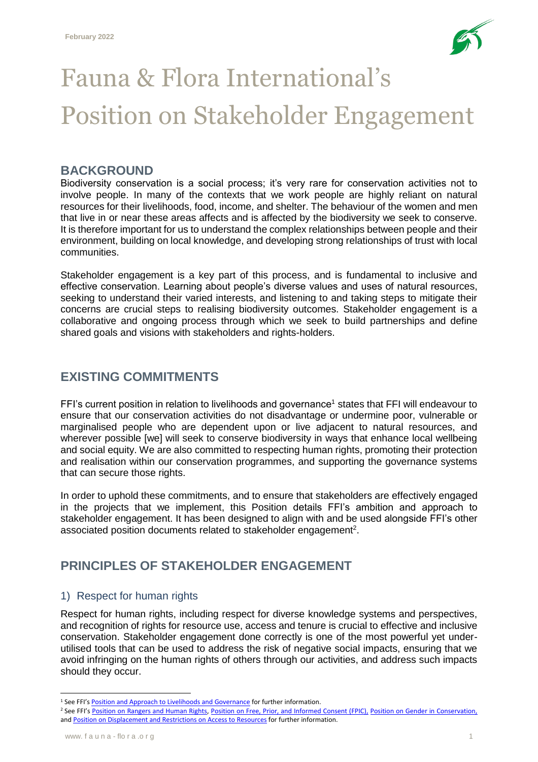

# Fauna & Flora International's Position on Stakeholder Engagement

#### **BACKGROUND**

Biodiversity conservation is a social process; it's very rare for conservation activities not to involve people. In many of the contexts that we work people are highly reliant on natural resources for their livelihoods, food, income, and shelter. The behaviour of the women and men that live in or near these areas affects and is affected by the biodiversity we seek to conserve. It is therefore important for us to understand the complex relationships between people and their environment, building on local knowledge, and developing strong relationships of trust with local communities.

Stakeholder engagement is a key part of this process, and is fundamental to inclusive and effective conservation. Learning about people's diverse values and uses of natural resources, seeking to understand their varied interests, and listening to and taking steps to mitigate their concerns are crucial steps to realising biodiversity outcomes. Stakeholder engagement is a collaborative and ongoing process through which we seek to build partnerships and define shared goals and visions with stakeholders and rights-holders.

## **EXISTING COMMITMENTS**

FFI's current position in relation to livelihoods and governance<sup>1</sup> states that FFI will endeavour to ensure that our conservation activities do not disadvantage or undermine poor, vulnerable or marginalised people who are dependent upon or live adjacent to natural resources, and wherever possible [we] will seek to conserve biodiversity in ways that enhance local wellbeing and social equity. We are also committed to respecting human rights, promoting their protection and realisation within our conservation programmes, and supporting the governance systems that can secure those rights.

In order to uphold these commitments, and to ensure that stakeholders are effectively engaged in the projects that we implement, this Position details FFI's ambition and approach to stakeholder engagement. It has been designed to align with and be used alongside FFI's other associated position documents related to stakeholder engagement<sup>2</sup>.

### **PRINCIPLES OF STAKEHOLDER ENGAGEMENT**

#### 1) Respect for human rights

Respect for human rights, including respect for diverse knowledge systems and perspectives, and recognition of rights for resource use, access and tenure is crucial to effective and inclusive conservation. Stakeholder engagement done correctly is one of the most powerful yet underutilised tools that can be used to address the risk of negative social impacts, ensuring that we avoid infringing on the human rights of others through our activities, and address such impacts should they occur.

 $\overline{a}$ 

<sup>&</sup>lt;sup>1</sup> See FFI's [Position and Approach to Livelihoods and Governance](https://www.fauna-flora.org/app/uploads/2017/11/FFI_2013_FFIs-position-and-approach-to-conservation-livelihoods-and-governance.pdf) for further information.

<sup>&</sup>lt;sup>2</sup> See FFI's [Position on Rangers and Human Rights,](https://www.fauna-flora.org/app/uploads/2021/03/FFI_2020_Position-on-rangers-and-human-rights.pdf) [Position on Free, Prior, and Informed Consent \(FPIC\),](https://www.fauna-flora.org/app/uploads/2021/02/FFI_2019_Position-on-free-prior-and-informed-consent-.pdf) [Position on Gender in Conservation,](https://www.fauna-flora.org/app/uploads/2019/06/FFI_2019_Position-on-gender-in-conservation.pdf) and [Position on Displacement and Restrictions on Access to Resources](https://www.fauna-flora.org/app/uploads/2017/11/FFI_2016_Displacement-and-restrictions-on-access-to-resources.pdf) for further information.